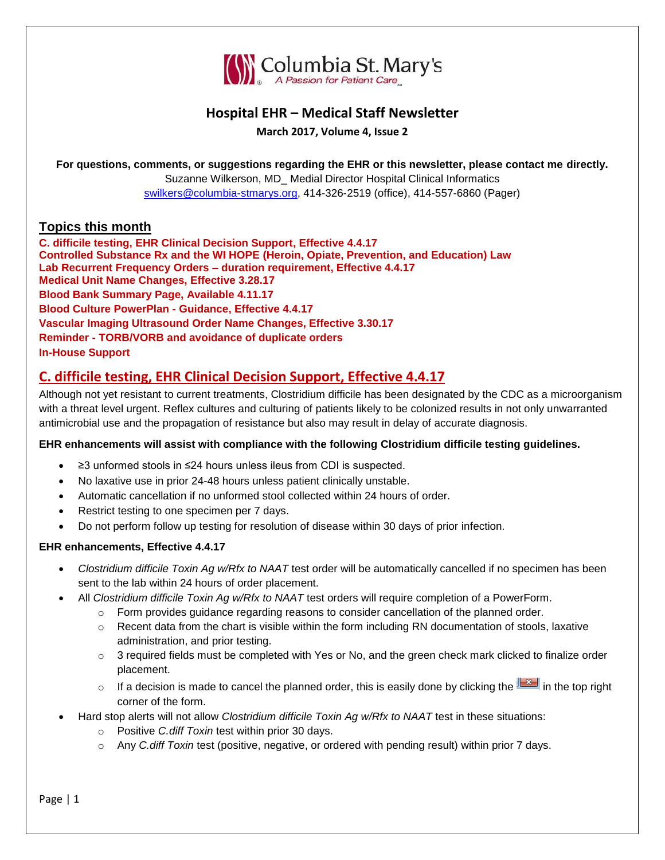

### **Hospital EHR – Medical Staff Newsletter**

**March 2017, Volume 4, Issue 2**

**For questions, comments, or suggestions regarding the EHR or this newsletter, please contact me directly.**

Suzanne Wilkerson, MD\_ Medial Director Hospital Clinical Informatics [swilkers@columbia-stmarys.org,](mailto:swilkers@columbia-stmarys.org) 414-326-2519 (office), 414-557-6860 (Pager)

#### **Topics this month**

**C. difficile testing, EHR Clinical Decision Support, Effective 4.4.17 Controlled Substance Rx and the WI HOPE (Heroin, Opiate, Prevention, and Education) Law Lab Recurrent Frequency Orders – duration requirement, Effective 4.4.17 Medical Unit Name Changes, Effective 3.28.17 Blood Bank Summary Page, Available 4.11.17 Blood Culture PowerPlan - Guidance, Effective 4.4.17 Vascular Imaging Ultrasound Order Name Changes, Effective 3.30.17 Reminder - TORB/VORB and avoidance of duplicate orders In-House Support**

# **C. difficile testing, EHR Clinical Decision Support, Effective 4.4.17**

Although not yet resistant to current treatments, Clostridium difficile has been designated by the CDC as a microorganism with a threat level urgent. Reflex cultures and culturing of patients likely to be colonized results in not only unwarranted antimicrobial use and the propagation of resistance but also may result in delay of accurate diagnosis.

#### **EHR enhancements will assist with compliance with the following Clostridium difficile testing guidelines.**

- ≥3 unformed stools in ≤24 hours unless ileus from CDI is suspected.
- No laxative use in prior 24-48 hours unless patient clinically unstable.
- Automatic cancellation if no unformed stool collected within 24 hours of order.
- Restrict testing to one specimen per 7 days.
- Do not perform follow up testing for resolution of disease within 30 days of prior infection.

#### **EHR enhancements, Effective 4.4.17**

- *Clostridium difficile Toxin Ag w/Rfx to NAAT* test order will be automatically cancelled if no specimen has been sent to the lab within 24 hours of order placement.
- All *Clostridium difficile Toxin Ag w/Rfx to NAAT* test orders will require completion of a PowerForm.
	- $\circ$  Form provides guidance regarding reasons to consider cancellation of the planned order.
	- $\circ$  Recent data from the chart is visible within the form including RN documentation of stools, laxative administration, and prior testing.
	- $\circ$  3 required fields must be completed with Yes or No, and the green check mark clicked to finalize order placement.
	- o If a decision is made to cancel the planned order, this is easily done by clicking the  $\mathbb{R}$  in the top right corner of the form.
- Hard stop alerts will not allow *Clostridium difficile Toxin Ag w/Rfx to NAAT* test in these situations:
	- o Positive *C.diff Toxin* test within prior 30 days.
	- o Any *C.diff Toxin* test (positive, negative, or ordered with pending result) within prior 7 days.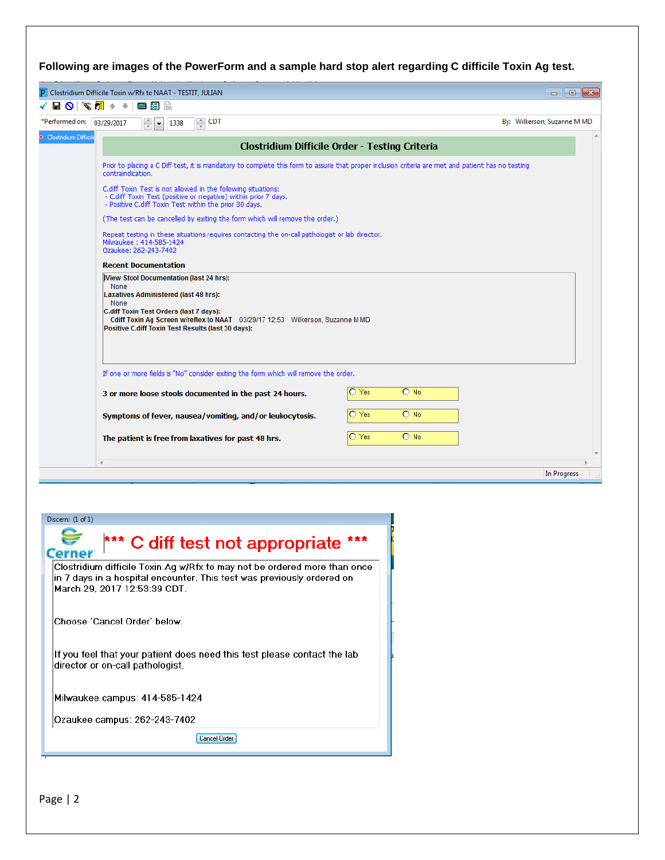| P Clostridium Difficile Toxin w/Rfx to NAAT - TESTIT, JULIAN                                                                                                                                                                                                                                                                                                                                                                                                                                                                                                                                                                                                                                                                                                                                             |                                                               | $\begin{array}{c c c c c c} \hline \multicolumn{3}{c }{\mathbf{C}} & \multicolumn{3}{c }{\mathbf{S}} & \multicolumn{3}{c }{\mathbf{S}} & \multicolumn{3}{c }{\mathbf{S}} & \multicolumn{3}{c }{\mathbf{S}} & \multicolumn{3}{c }{\mathbf{S}} & \multicolumn{3}{c }{\mathbf{S}} & \multicolumn{3}{c }{\mathbf{S}} & \multicolumn{3}{c }{\mathbf{S}} & \multicolumn{3}{c }{\mathbf{S}} & \multicolumn{3}{c }{\mathbf{S}} & \multicolumn{3}{c }{\mathbf$ |
|----------------------------------------------------------------------------------------------------------------------------------------------------------------------------------------------------------------------------------------------------------------------------------------------------------------------------------------------------------------------------------------------------------------------------------------------------------------------------------------------------------------------------------------------------------------------------------------------------------------------------------------------------------------------------------------------------------------------------------------------------------------------------------------------------------|---------------------------------------------------------------|-------------------------------------------------------------------------------------------------------------------------------------------------------------------------------------------------------------------------------------------------------------------------------------------------------------------------------------------------------------------------------------------------------------------------------------------------------|
| $\sqrt[3]{2}$ +<br>画籍脸<br>8 Q I<br>$\rightarrow$                                                                                                                                                                                                                                                                                                                                                                                                                                                                                                                                                                                                                                                                                                                                                         |                                                               |                                                                                                                                                                                                                                                                                                                                                                                                                                                       |
| $\frac{1}{x}$ CDT<br>*Performed on: 03/29/2017<br>후<br>1338<br>$\blacksquare$                                                                                                                                                                                                                                                                                                                                                                                                                                                                                                                                                                                                                                                                                                                            |                                                               | By: Wilkerson, Suzanne M MD                                                                                                                                                                                                                                                                                                                                                                                                                           |
| Clostridium Difficil                                                                                                                                                                                                                                                                                                                                                                                                                                                                                                                                                                                                                                                                                                                                                                                     | Clostridium Difficile Order - Testing Criteria                |                                                                                                                                                                                                                                                                                                                                                                                                                                                       |
| Prior to placing a C Diff test, it is mandatory to complete this form to assure that proper inclusion criteria are met and patient has no testing<br>contraindication.<br>C.diff Toxin Test is not allowed in the following situations:<br>- C.diff Toxin Test (positive or negative) within prior 7 days.<br>- Positive C.diff Toxin Test within the prior 30 days.<br>(The test can be cancelled by exiting the form which will remove the order.)<br>Repeat testing in these situations requires contacting the on-call pathologist or lab director.<br>Milwaukee: 414-585-1424<br>Ozaukee: 262-243-7402<br><b>Recent Documentation</b><br><b>IView Stool Documentation (last 24 hrs):</b><br>None<br><b>Laxatives Administered (last 48 hrs):</b><br>None<br>C.diff Toxin Test Orders (last 7 days): |                                                               |                                                                                                                                                                                                                                                                                                                                                                                                                                                       |
| Cdiff Toxin Ag Screen w/reflex to NAAT 03/29/17 12:53 Wilkerson, Suzanne M MD<br>Positive C.diff Toxin Test Results (last 30 days):<br>If one or more fields is "No" consider exiting the form which will remove the order.<br>3 or more loose stools documented in the past 24 hours.<br>Symptoms of fever, nausea/vomiting, and/or leukocytosis.<br>The patient is free from laxatives for past 48 hrs.                                                                                                                                                                                                                                                                                                                                                                                                | O Yes<br>$O$ No<br>O Yes<br>$O$ No<br>$\bigcap$ Yes<br>$O$ No |                                                                                                                                                                                                                                                                                                                                                                                                                                                       |

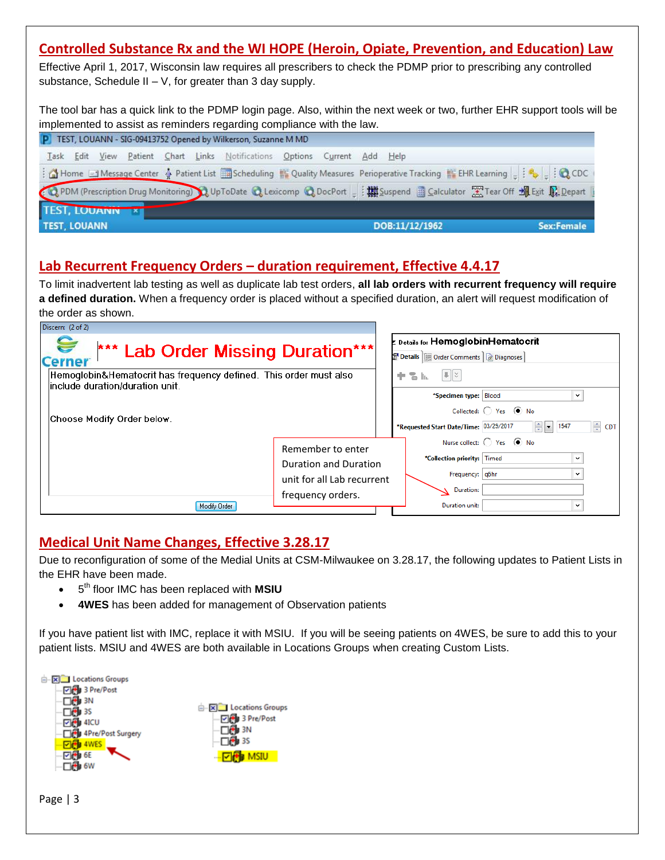# **Controlled Substance Rx and the WI HOPE (Heroin, Opiate, Prevention, and Education) Law**

Effective April 1, 2017, Wisconsin law requires all prescribers to check the PDMP prior to prescribing any controlled substance, Schedule II  $-$  V, for greater than 3 day supply.

The tool bar has a quick link to the PDMP login page. Also, within the next week or two, further EHR support tools will be implemented to assist as reminders regarding compliance with the law.

| P TEST, LOUANN - SIG-09413752 Opened by Wilkerson, Suzanne M MD |  |  |  |  |  |                                                                           |  |  |                |            |
|-----------------------------------------------------------------|--|--|--|--|--|---------------------------------------------------------------------------|--|--|----------------|------------|
|                                                                 |  |  |  |  |  | Task Edit View Patient Chart Links Notifications Options Current Add Help |  |  |                |            |
|                                                                 |  |  |  |  |  |                                                                           |  |  |                |            |
|                                                                 |  |  |  |  |  |                                                                           |  |  |                |            |
| TEST, LOUANN X                                                  |  |  |  |  |  |                                                                           |  |  |                |            |
| <b>TEST, LOUANN</b>                                             |  |  |  |  |  |                                                                           |  |  | DOB:11/12/1962 | Sex:Female |

# **Lab Recurrent Frequency Orders – duration requirement, Effective 4.4.17**

To limit inadvertent lab testing as well as duplicate lab test orders, **all lab orders with recurrent frequency will require a defined duration.** When a frequency order is placed without a specified duration, an alert will request modification of the order as shown.

| Discern: (2 of 2)                                                                                     |                              |                                                                                        |                                              |                                            |  |
|-------------------------------------------------------------------------------------------------------|------------------------------|----------------------------------------------------------------------------------------|----------------------------------------------|--------------------------------------------|--|
| *** Lab Order Missing Duration***<br><b>Cerner</b>                                                    |                              | z Details for <b>HemoglobinHematocrit</b><br>Details   Up Order Comments   @ Diagnoses |                                              |                                            |  |
| Hemoglobin&Hematocrit has frequency defined. This order must also<br>linclude duration/duration unit. |                              | $  \mathbf{L}   \times$<br>$\overline{a}$ In.<br>÷.                                    |                                              |                                            |  |
|                                                                                                       |                              |                                                                                        | *Specimen type: Blood                        | $\checkmark$                               |  |
| Choose Modify Order below.                                                                            |                              | Collected: ( Yes ( No                                                                  |                                              |                                            |  |
|                                                                                                       |                              | *Requested Start Date/Time: 03/29/2017                                                 | <b>E</b> CDT<br>$\frac{4}{3}$ $\bullet$ 1547 |                                            |  |
|                                                                                                       | Remember to enter            |                                                                                        |                                              | Nurse collect: $\bigcap$ Yes $\bigcirc$ No |  |
|                                                                                                       | <b>Duration and Duration</b> |                                                                                        |                                              |                                            |  |
|                                                                                                       | unit for all Lab recurrent   |                                                                                        | Frequency: g6hr<br>$\checkmark$              |                                            |  |
|                                                                                                       |                              | Duration:                                                                              |                                              |                                            |  |
| Modify Order                                                                                          | frequency orders.            |                                                                                        | Duration unit:                               | $\checkmark$                               |  |

# **Medical Unit Name Changes, Effective 3.28.17**

Due to reconfiguration of some of the Medial Units at CSM-Milwaukee on 3.28.17, the following updates to Patient Lists in the EHR have been made.

- $\bullet$  5<sup>th</sup> floor IMC has been replaced with MSIU
- **4WES** has been added for management of Observation patients

If you have patient list with IMC, replace it with MSIU. If you will be seeing patients on 4WES, be sure to add this to your patient lists. MSIU and 4WES are both available in Locations Groups when creating Custom Lists.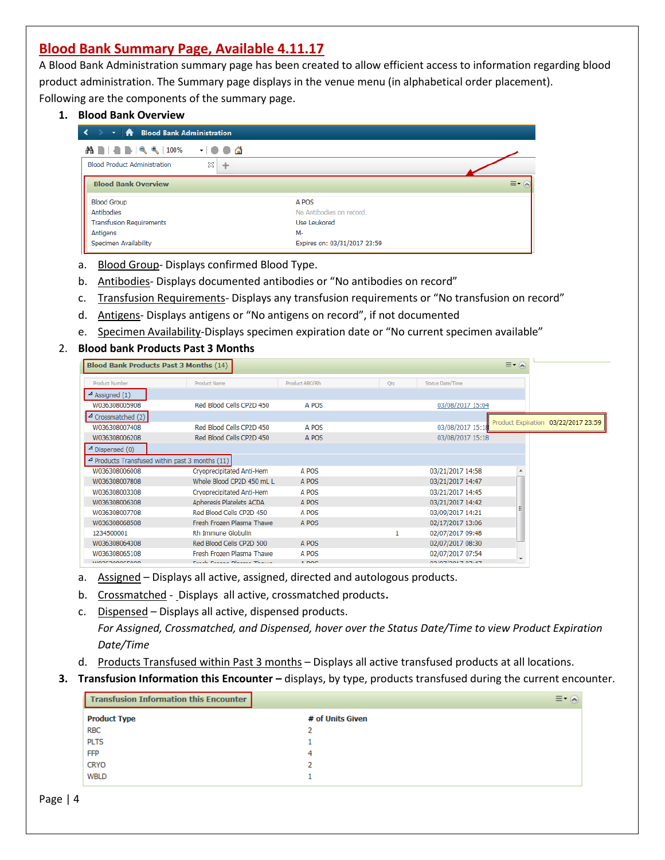### **Blood Bank Summary Page, Available 4.11.17**

A Blood Bank Administration summary page has been created to allow efficient access to information regarding blood product administration. The Summary page displays in the venue menu (in alphabetical order placement). Following are the components of the summary page.

#### **1. Blood Bank Overview**

| $\leftarrow$<br>T   A Blood Bank Administration |   |                              |                        |
|-------------------------------------------------|---|------------------------------|------------------------|
| <b>ABBERRIOS - 9 0 △</b>                        |   |                              |                        |
| <b>Blood Product Administration</b>             | x |                              |                        |
| <b>Blood Bank Overview</b>                      |   |                              | $\equiv$ $\sim$ $\sim$ |
| <b>Blood Group</b>                              |   | A POS                        |                        |
| Antibodies                                      |   | No Antibodies on record.     |                        |
| <b>Transfusion Requirements</b>                 |   | Use Leukored                 |                        |
| Antigens                                        |   | M-                           |                        |
| Specimen Availability                           |   | Expires on: 03/31/2017 23:59 |                        |

- a. Blood Group- Displays confirmed Blood Type.
- b. Antibodies- Displays documented antibodies or "No antibodies on record"
- c. Transfusion Requirements- Displays any transfusion requirements or "No transfusion on record"
- d. Antigens- Displays antigens or "No antigens on record", if not documented
- e. Specimen Availability-Displays specimen expiration date or "No current specimen available"

#### 2. **Blood bank Products Past 3 Months**

| <b>Blood Bank Products Past 3 Months (14)</b>        |                              |                |     |                   | $\equiv$ $\sim$ $\approx$           |
|------------------------------------------------------|------------------------------|----------------|-----|-------------------|-------------------------------------|
| <b>Product Number</b>                                | <b>Product Name</b>          | Product ABO/Rh | Qty | Status Date/Time  |                                     |
| $\triangle$ Assigned (1)                             |                              |                |     |                   |                                     |
| W036308005908                                        | Red Blood Cells CP2D 450     | A POS          |     | 03/08/2017 15:04  |                                     |
| $\triangle$ Crossmatched (2)                         |                              |                |     |                   |                                     |
| W036308007408                                        | Red Blood Cells CP2D 450     | A POS          |     | 03/08/2017 15:18  | Product Expiration 03/22/2017 23:59 |
| W036308006208                                        | Red Blood Cells CP2D 450     | A POS          |     | 03/08/2017 15:18  |                                     |
| $\triangle$ Dispensed (0)                            |                              |                |     |                   |                                     |
| $\sim$ Products Transfused within past 3 months (11) |                              |                |     |                   |                                     |
| W036308006008                                        | Cryoprecipitated Anti-Hem    | A POS          |     | 03/21/2017 14:58  |                                     |
| W036308007808                                        | Whole Blood CP2D 450 mL L    | A POS          |     | 03/21/2017 14:47  |                                     |
| W036308003308                                        | Cryoprecipitated Anti-Hem    | A POS          |     | 03/21/2017 14:45  |                                     |
| W036308006308                                        | Apheresis Platelets ACDA     | A POS          |     | 03/21/2017 14:42  |                                     |
| W036308007708                                        | Red Blood Cells CP2D 450     | A POS          |     | 03/09/2017 14:21  |                                     |
| W036308068508                                        | Fresh Frozen Plasma Thawe    | A POS          |     | 02/17/2017 13:06  |                                     |
| 1234500001                                           | Rh Immune Globulin           |                |     | 02/07/2017 09:48  |                                     |
| W036308064308                                        | Red Blood Cells CP2D 500     | A POS          |     | 02/07/2017 08:30  |                                     |
| W036308065108                                        | Fresh Frozen Plasma Thawe    | A POS          |     | 02/07/2017 07:54  | ↽                                   |
| <b>WOOCDOOOCEOOO</b>                                 | Parall Passage Newsan Thomas | 5.000          |     | 00 IOTIONATIOTLAT |                                     |

- a. Assigned Displays all active, assigned, directed and autologous products.
- b. Crossmatched Displays all active, crossmatched products.
- c. Dispensed Displays all active, dispensed products. *For Assigned, Crossmatched, and Dispensed, hover over the Status Date/Time to view Product Expiration Date/Time*
- d. Products Transfused within Past 3 months Displays all active transfused products at all locations.
- **3. Transfusion Information this Encounter –** displays, by type, products transfused during the current encounter.

|                     | Transfusion Information this Encounter |                  | $\equiv$ $\sim$ $\sim$ |
|---------------------|----------------------------------------|------------------|------------------------|
| <b>Product Type</b> |                                        | # of Units Given |                        |
| <b>RBC</b>          |                                        |                  |                        |
| <b>PLTS</b>         |                                        |                  |                        |
| <b>FFP</b>          |                                        | 4                |                        |
| <b>CRYO</b>         |                                        |                  |                        |
| <b>WBLD</b>         |                                        |                  |                        |
|                     |                                        |                  |                        |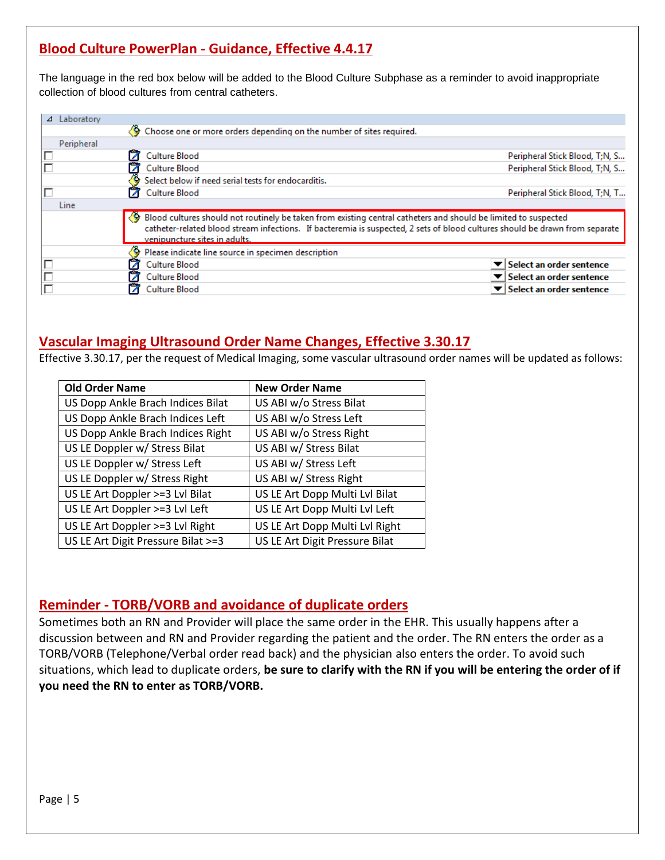# **Blood Culture PowerPlan - Guidance, Effective 4.4.17**

The language in the red box below will be added to the Blood Culture Subphase as a reminder to avoid inappropriate collection of blood cultures from central catheters.

| Laboratory<br>⊿ |                                                                      |                                                                                                                                                                                                                                                   |
|-----------------|----------------------------------------------------------------------|---------------------------------------------------------------------------------------------------------------------------------------------------------------------------------------------------------------------------------------------------|
|                 | Choose one or more orders depending on the number of sites required. |                                                                                                                                                                                                                                                   |
| Peripheral      |                                                                      |                                                                                                                                                                                                                                                   |
| Г               | <b>Culture Blood</b>                                                 | Peripheral Stick Blood, T;N, S                                                                                                                                                                                                                    |
|                 | <b>Culture Blood</b>                                                 | Peripheral Stick Blood, T:N, S                                                                                                                                                                                                                    |
|                 | Select below if need serial tests for endocarditis.                  |                                                                                                                                                                                                                                                   |
|                 | <b>Culture Blood</b>                                                 | Peripheral Stick Blood, T;N, T                                                                                                                                                                                                                    |
| Line            |                                                                      |                                                                                                                                                                                                                                                   |
|                 | venipuncture sites in adults.                                        | ♦ Blood cultures should not routinely be taken from existing central catheters and should be limited to suspected<br>catheter-related blood stream infections. If bacteremia is suspected, 2 sets of blood cultures should be drawn from separate |
|                 | Please indicate line source in specimen description                  |                                                                                                                                                                                                                                                   |
|                 | Culture Blood                                                        | Select an order sentence                                                                                                                                                                                                                          |
|                 | <b>Culture Blood</b>                                                 | Select an order sentence                                                                                                                                                                                                                          |
|                 | Culture Blood                                                        | Select an order sentence                                                                                                                                                                                                                          |

### **Vascular Imaging Ultrasound Order Name Changes, Effective 3.30.17**

Effective 3.30.17, per the request of Medical Imaging, some vascular ultrasound order names will be updated as follows:

| <b>Old Order Name</b>              | <b>New Order Name</b>          |
|------------------------------------|--------------------------------|
| US Dopp Ankle Brach Indices Bilat  | US ABI w/o Stress Bilat        |
| US Dopp Ankle Brach Indices Left   | US ABI w/o Stress Left         |
| US Dopp Ankle Brach Indices Right  | US ABI w/o Stress Right        |
| US LE Doppler w/ Stress Bilat      | US ABI w/ Stress Bilat         |
| US LE Doppler w/ Stress Left       | US ABI w/ Stress Left          |
| US LE Doppler w/ Stress Right      | US ABI w/ Stress Right         |
| US LE Art Doppler >=3 Lvl Bilat    | US LE Art Dopp Multi Lvl Bilat |
| US LE Art Doppler >=3 Lvl Left     | US LE Art Dopp Multi Lvl Left  |
| US LE Art Doppler >=3 Lvl Right    | US LE Art Dopp Multi Lvl Right |
| US LE Art Digit Pressure Bilat >=3 | US LE Art Digit Pressure Bilat |

#### **Reminder - TORB/VORB and avoidance of duplicate orders**

Sometimes both an RN and Provider will place the same order in the EHR. This usually happens after a discussion between and RN and Provider regarding the patient and the order. The RN enters the order as a TORB/VORB (Telephone/Verbal order read back) and the physician also enters the order. To avoid such situations, which lead to duplicate orders, **be sure to clarify with the RN if you will be entering the order of if you need the RN to enter as TORB/VORB.**